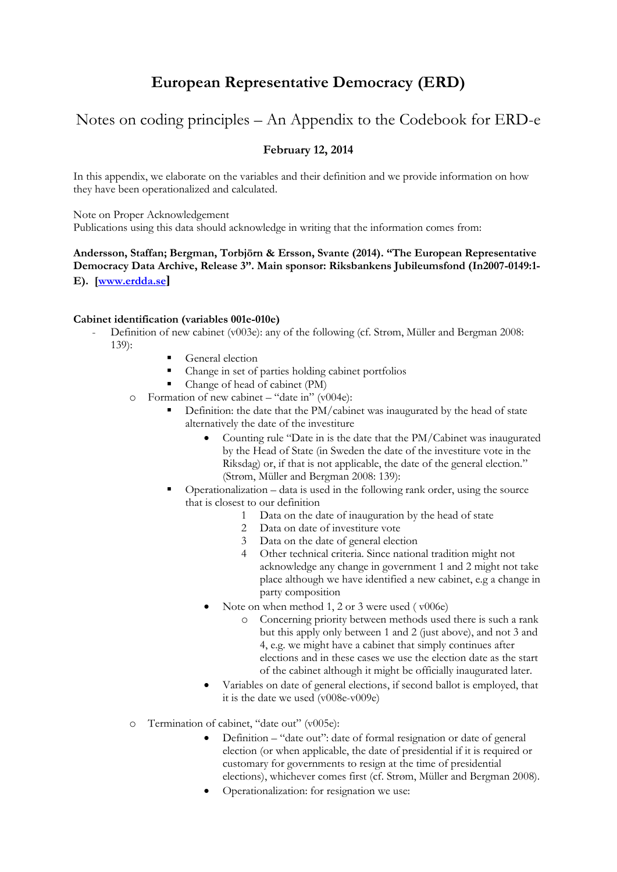# **European Representative Democracy (ERD)**

## Notes on coding principles – An Appendix to the Codebook for ERD-e

## **February 12, 2014**

In this appendix, we elaborate on the variables and their definition and we provide information on how they have been operationalized and calculated.

Note on Proper Acknowledgement

Publications using this data should acknowledge in writing that the information comes from:

### **Andersson, Staffan; Bergman, Torbjörn & Ersson, Svante (2014). "The European Representative Democracy Data Archive, Release 3". Main sponsor: Riksbankens Jubileumsfond (In2007-0149:1- E). [\[www.erdda.se](http://www.erdda.se/)]**

#### **Cabinet identification (variables 001e-010e)**

- Definition of new cabinet (v003e): any of the following (cf. Strøm, Müller and Bergman 2008: 139):
	- General election
	- Change in set of parties holding cabinet portfolios
	- Change of head of cabinet (PM)
	- o Formation of new cabinet "date in" (v004e):
		- Definition: the date that the PM/cabinet was inaugurated by the head of state alternatively the date of the investiture
			- Counting rule "Date in is the date that the PM/Cabinet was inaugurated by the Head of State (in Sweden the date of the investiture vote in the Riksdag) or, if that is not applicable, the date of the general election." (Strøm, Müller and Bergman 2008: 139):
		- $\blacksquare$  Operationalization data is used in the following rank order, using the source that is closest to our definition
			- 1 Data on the date of inauguration by the head of state<br>2 Data on date of investiture vote
			- 2 Data on date of investiture vote<br>3 Data on the date of general elect
			- Data on the date of general election
			- 4 Other technical criteria. Since national tradition might not acknowledge any change in government 1 and 2 might not take place although we have identified a new cabinet, e.g a change in party composition
			- Note on when method 1, 2 or 3 were used ( v006e)
				- o Concerning priority between methods used there is such a rank but this apply only between 1 and 2 (just above), and not 3 and 4, e.g. we might have a cabinet that simply continues after elections and in these cases we use the election date as the start of the cabinet although it might be officially inaugurated later.
			- Variables on date of general elections, if second ballot is employed, that it is the date we used (v008e-v009e)
	- o Termination of cabinet, "date out" (v005e):
		- Definition "date out": date of formal resignation or date of general election (or when applicable, the date of presidential if it is required or customary for governments to resign at the time of presidential elections), whichever comes first (cf. Strøm, Müller and Bergman 2008).
		- Operationalization: for resignation we use: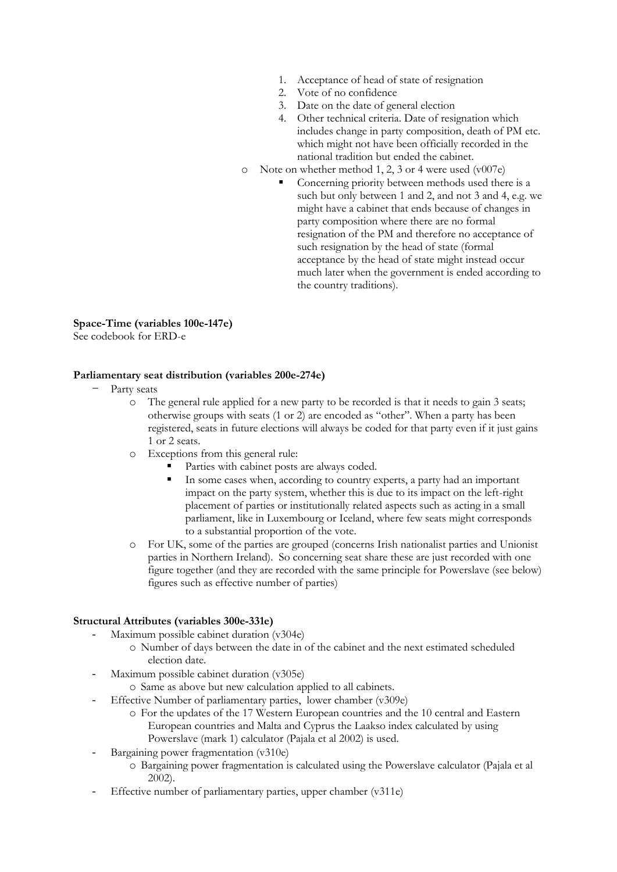- 1. Acceptance of head of state of resignation
- 2. Vote of no confidence
- 3. Date on the date of general election
- 4. Other technical criteria. Date of resignation which includes change in party composition, death of PM etc. which might not have been officially recorded in the national tradition but ended the cabinet.
- o Note on whether method 1, 2, 3 or 4 were used (v007e)
	- Concerning priority between methods used there is a such but only between 1 and 2, and not 3 and 4, e.g. we might have a cabinet that ends because of changes in party composition where there are no formal resignation of the PM and therefore no acceptance of such resignation by the head of state (formal acceptance by the head of state might instead occur much later when the government is ended according to the country traditions).

#### **Space-Time (variables 100e-147e)**

See codebook for ERD-e

#### **Parliamentary seat distribution (variables 200e-274e)**

- Party seats
	- o The general rule applied for a new party to be recorded is that it needs to gain 3 seats; otherwise groups with seats (1 or 2) are encoded as "other". When a party has been registered, seats in future elections will always be coded for that party even if it just gains 1 or 2 seats.
	- o Exceptions from this general rule:
		- Parties with cabinet posts are always coded.
		- In some cases when, according to country experts, a party had an important impact on the party system, whether this is due to its impact on the left-right placement of parties or institutionally related aspects such as acting in a small parliament, like in Luxembourg or Iceland, where few seats might corresponds to a substantial proportion of the vote.
	- o For UK, some of the parties are grouped (concerns Irish nationalist parties and Unionist parties in Northern Ireland). So concerning seat share these are just recorded with one figure together (and they are recorded with the same principle for Powerslave (see below) figures such as effective number of parties)

#### **Structural Attributes (variables 300e-331e)**

- Maximum possible cabinet duration (v304e)
	- o Number of days between the date in of the cabinet and the next estimated scheduled election date.
- Maximum possible cabinet duration (v305e)
	- o Same as above but new calculation applied to all cabinets.
- Effective Number of parliamentary parties, lower chamber (v309e)
	- o For the updates of the 17 Western European countries and the 10 central and Eastern European countries and Malta and Cyprus the Laakso index calculated by using Powerslave (mark 1) calculator (Pajala et al 2002) is used.
- Bargaining power fragmentation (v310e)
	- o Bargaining power fragmentation is calculated using the Powerslave calculator (Pajala et al 2002).
- Effective number of parliamentary parties, upper chamber (v311e)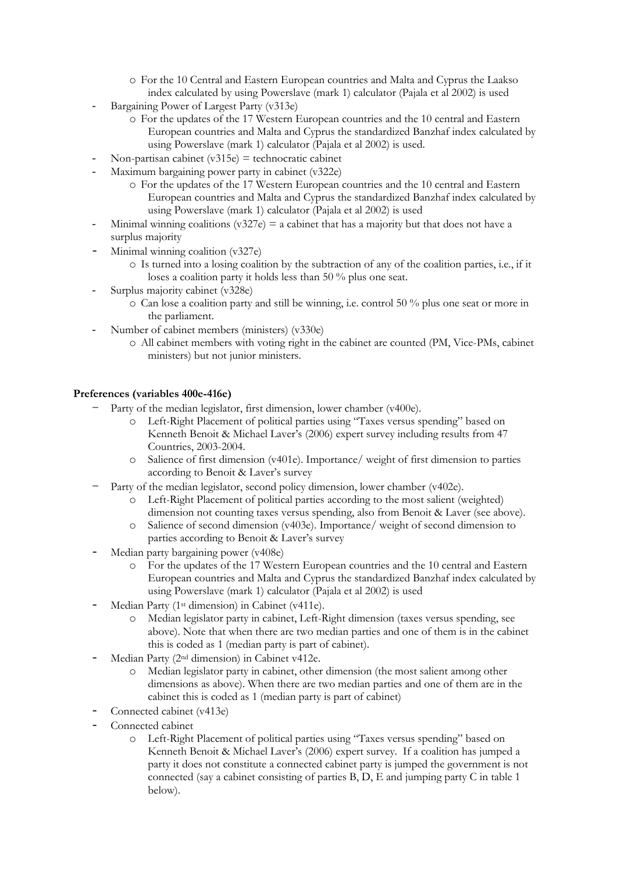- o For the 10 Central and Eastern European countries and Malta and Cyprus the Laakso index calculated by using Powerslave (mark 1) calculator (Pajala et al 2002) is used
- Bargaining Power of Largest Party (v313e)
	- o For the updates of the 17 Western European countries and the 10 central and Eastern European countries and Malta and Cyprus the standardized Banzhaf index calculated by using Powerslave (mark 1) calculator (Pajala et al 2002) is used.
- Non-partisan cabinet  $(v315e)$  = technocratic cabinet
- Maximum bargaining power party in cabinet (v322e)
	- o For the updates of the 17 Western European countries and the 10 central and Eastern European countries and Malta and Cyprus the standardized Banzhaf index calculated by using Powerslave (mark 1) calculator (Pajala et al 2002) is used
- Minimal winning coalitions (v327e) = a cabinet that has a majority but that does not have a surplus majority
- Minimal winning coalition (v327e)
	- o Is turned into a losing coalition by the subtraction of any of the coalition parties, i.e., if it loses a coalition party it holds less than 50 % plus one seat.
- Surplus majority cabinet (v328e)
	- o Can lose a coalition party and still be winning, i.e. control 50 % plus one seat or more in the parliament.
- Number of cabinet members (ministers) (v330e)
	- o All cabinet members with voting right in the cabinet are counted (PM, Vice-PMs, cabinet ministers) but not junior ministers.

#### **Preferences (variables 400e-416e)**

- Party of the median legislator, first dimension, lower chamber (v400e).
	- o Left-Right Placement of political parties using "Taxes versus spending" based on Kenneth Benoit & Michael Laver's (2006) expert survey including results from 47 Countries, 2003-2004.
	- o Salience of first dimension (v401e). Importance/ weight of first dimension to parties according to Benoit & Laver's survey
- Party of the median legislator, second policy dimension, lower chamber (v402e).
	- o Left-Right Placement of political parties according to the most salient (weighted) dimension not counting taxes versus spending, also from Benoit & Laver (see above).
	- Salience of second dimension (v403e). Importance/ weight of second dimension to parties according to Benoit & Laver's survey
- Median party bargaining power (v408e)
	- o For the updates of the 17 Western European countries and the 10 central and Eastern European countries and Malta and Cyprus the standardized Banzhaf index calculated by using Powerslave (mark 1) calculator (Pajala et al 2002) is used
- Median Party (1<sup>st</sup> dimension) in Cabinet (v411e).
	- o Median legislator party in cabinet, Left-Right dimension (taxes versus spending, see above). Note that when there are two median parties and one of them is in the cabinet this is coded as 1 (median party is part of cabinet).
- Median Party (2<sup>nd</sup> dimension) in Cabinet v412e.
	- o Median legislator party in cabinet, other dimension (the most salient among other dimensions as above). When there are two median parties and one of them are in the cabinet this is coded as 1 (median party is part of cabinet)
- Connected cabinet (v413e)
- Connected cabinet
	- o Left-Right Placement of political parties using "Taxes versus spending" based on Kenneth Benoit & Michael Laver's (2006) expert survey. If a coalition has jumped a party it does not constitute a connected cabinet party is jumped the government is not connected (say a cabinet consisting of parties  $B, D, E$  and jumping party C in table 1 below).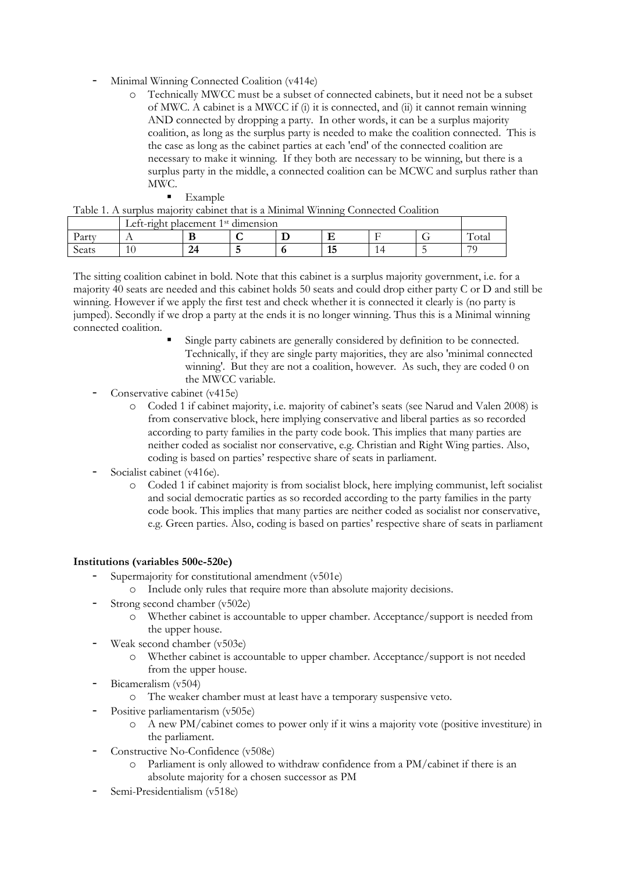- Minimal Winning Connected Coalition (v414e)
	- o Technically MWCC must be a subset of connected cabinets, but it need not be a subset of MWC. A cabinet is a MWCC if (i) it is connected, and (ii) it cannot remain winning AND connected by dropping a party. In other words, it can be a surplus majority coalition, as long as the surplus party is needed to make the coalition connected. This is the case as long as the cabinet parties at each 'end' of the connected coalition are necessary to make it winning. If they both are necessary to be winning, but there is a surplus party in the middle, a connected coalition can be MCWC and surplus rather than MWC.

Table 1. A surplus majority cabinet that is a Minimal Winning Connected Coalition

| $\sim$ WATER THE USE MESSENGER STRIP CONSTITUTION IN THE CONTINUES. THE CONTINUES OF CONSTRUCTION AND $\sim$ |                                                |               |  |  |            |  |     |                    |
|--------------------------------------------------------------------------------------------------------------|------------------------------------------------|---------------|--|--|------------|--|-----|--------------------|
|                                                                                                              | Left-right placement 1 <sup>st</sup> dimension |               |  |  |            |  |     |                    |
| Party                                                                                                        |                                                | . .           |  |  |            |  |     | $\sqrt{ }$<br>otal |
| Seats                                                                                                        |                                                | $\mathcal{D}$ |  |  | $-1$<br>⊥പ |  | . . | 70                 |

The sitting coalition cabinet in bold. Note that this cabinet is a surplus majority government, i.e. for a majority 40 seats are needed and this cabinet holds 50 seats and could drop either party C or D and still be winning. However if we apply the first test and check whether it is connected it clearly is (no party is jumped). Secondly if we drop a party at the ends it is no longer winning. Thus this is a Minimal winning connected coalition.

- Single party cabinets are generally considered by definition to be connected. Technically, if they are single party majorities, they are also 'minimal connected winning'. But they are not a coalition, however. As such, they are coded 0 on the MWCC variable.
- Conservative cabinet (v415e)
	- o Coded 1 if cabinet majority, i.e. majority of cabinet's seats (see Narud and Valen 2008) is from conservative block, here implying conservative and liberal parties as so recorded according to party families in the party code book. This implies that many parties are neither coded as socialist nor conservative, e.g. Christian and Right Wing parties. Also, coding is based on parties' respective share of seats in parliament.
- Socialist cabinet (v416e).
	- o Coded 1 if cabinet majority is from socialist block, here implying communist, left socialist and social democratic parties as so recorded according to the party families in the party code book. This implies that many parties are neither coded as socialist nor conservative, e.g. Green parties. Also, coding is based on parties' respective share of seats in parliament

#### **Institutions (variables 500e-520e)**

- Supermajority for constitutional amendment (v501e)
	- o Include only rules that require more than absolute majority decisions.
- Strong second chamber (v502e)
	- o Whether cabinet is accountable to upper chamber. Acceptance/support is needed from the upper house.
- Weak second chamber (v503e)
	- Whether cabinet is accountable to upper chamber. Acceptance/support is not needed from the upper house.
- Bicameralism (v504)
	- o The weaker chamber must at least have a temporary suspensive veto.
- Positive parliamentarism (v505e)
	- o A new PM/cabinet comes to power only if it wins a majority vote (positive investiture) in the parliament.
- Constructive No-Confidence (v508e)
	- Parliament is only allowed to withdraw confidence from a PM/cabinet if there is an absolute majority for a chosen successor as PM
- Semi-Presidentialism (v518e)